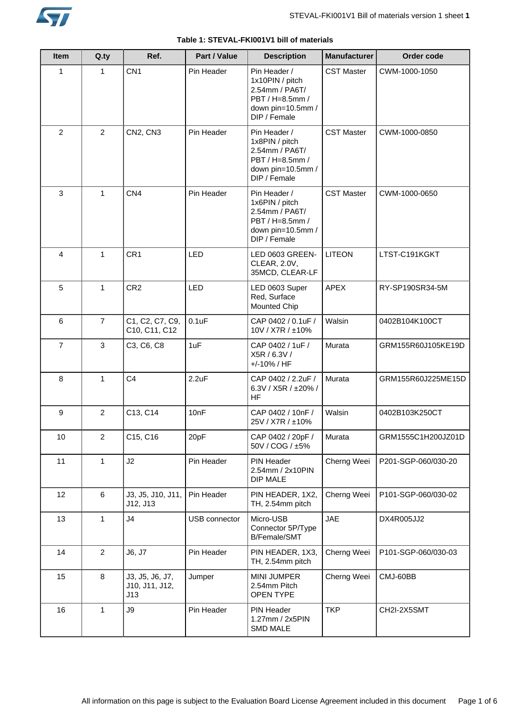

| <b>Item</b>    | Q.py           | Ref.                                     | Part / Value  | <b>Description</b>                                                                                        | <b>Manufacturer</b> | Order code          |
|----------------|----------------|------------------------------------------|---------------|-----------------------------------------------------------------------------------------------------------|---------------------|---------------------|
| 1              | 1              | CN <sub>1</sub>                          | Pin Header    | Pin Header /<br>1x10PIN / pitch<br>2.54mm / PA6T/<br>PBT / H=8.5mm /<br>down pin=10.5mm /<br>DIP / Female | <b>CST Master</b>   | CWM-1000-1050       |
| $\overline{2}$ | $\overline{2}$ | CN2, CN3                                 | Pin Header    | Pin Header /<br>1x8PIN / pitch<br>2.54mm / PA6T/<br>PBT / H=8.5mm /<br>down pin=10.5mm /<br>DIP / Female  | <b>CST Master</b>   | CWM-1000-0850       |
| 3              | $\mathbf{1}$   | CN4                                      | Pin Header    | Pin Header /<br>1x6PIN / pitch<br>2.54mm / PA6T/<br>PBT / H=8.5mm /<br>down pin=10.5mm /<br>DIP / Female  | <b>CST Master</b>   | CWM-1000-0650       |
| 4              | $\mathbf{1}$   | CR1                                      | LED           | LED 0603 GREEN-<br>CLEAR, 2.0V,<br>35MCD, CLEAR-LF                                                        | <b>LITEON</b>       | LTST-C191KGKT       |
| 5              | $\mathbf{1}$   | CR <sub>2</sub>                          | LED           | LED 0603 Super<br>Red, Surface<br><b>Mounted Chip</b>                                                     | <b>APEX</b>         | RY-SP190SR34-5M     |
| 6              | $\overline{7}$ | C1, C2, C7, C9,<br>C10, C11, C12         | 0.1uF         | CAP 0402 / 0.1uF /<br>10V / X7R / ±10%                                                                    | Walsin              | 0402B104K100CT      |
| $\overline{7}$ | 3              | C3, C6, C8                               | 1uF           | CAP 0402 / 1uF /<br>X5R / 6.3V /<br>+/-10% / HF                                                           | Murata              | GRM155R60J105KE19D  |
| 8              | $\mathbf{1}$   | C <sub>4</sub>                           | 2.2uF         | CAP 0402 / 2.2uF /<br>6.3V / X5R / ±20% /<br>HF                                                           | Murata              | GRM155R60J225ME15D  |
| 9              | $\overline{2}$ | C13, C14                                 | 10nF          | CAP 0402 / 10nF /<br>25V / X7R / ±10%                                                                     | Walsin              | 0402B103K250CT      |
| 10             | $\overline{2}$ | C15, C16                                 | 20pF          | CAP 0402 / 20pF /<br>50V / COG / ±5%                                                                      | Murata              | GRM1555C1H200JZ01D  |
| 11             | $\mathbf{1}$   | J2                                       | Pin Header    | PIN Header<br>2.54mm / 2x10PIN<br><b>DIP MALE</b>                                                         | Cherng Weei         | P201-SGP-060/030-20 |
| 12             | 6              | J3, J5, J10, J11,<br>J12, J13            | Pin Header    | PIN HEADER, 1X2,<br>TH, 2.54mm pitch                                                                      | Cherng Weei         | P101-SGP-060/030-02 |
| 13             | 1              | J <sub>4</sub>                           | USB connector | Micro-USB<br>Connector 5P/Type<br>B/Female/SMT                                                            | <b>JAE</b>          | DX4R005JJ2          |
| 14             | $\overline{2}$ | J6, J7                                   | Pin Header    | PIN HEADER, 1X3,<br>TH, 2.54mm pitch                                                                      | Cherng Weei         | P101-SGP-060/030-03 |
| 15             | 8              | J3, J5, J6, J7,<br>J10, J11, J12,<br>J13 | Jumper        | <b>MINI JUMPER</b><br>2.54mm Pitch<br>OPEN TYPE                                                           | Cherng Weei         | CMJ-60BB            |
| 16             | 1              | J9                                       | Pin Header    | PIN Header<br>1.27mm / 2x5PIN<br><b>SMD MALE</b>                                                          | <b>TKP</b>          | CH2I-2X5SMT         |

# **Table 1: STEVAL-FKI001V1 bill of materials**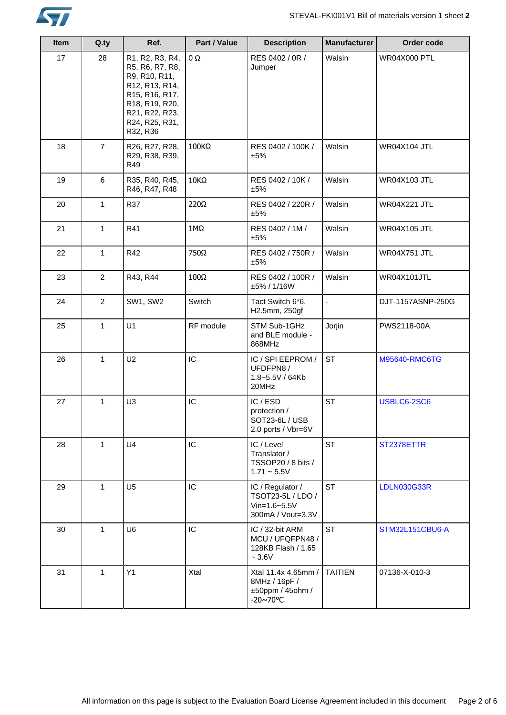

| <b>Item</b> | Q.ty           | Ref.                                                                                                                                                      | Part / Value | <b>Description</b>                                                               | <b>Manufacturer</b> | Order code          |
|-------------|----------------|-----------------------------------------------------------------------------------------------------------------------------------------------------------|--------------|----------------------------------------------------------------------------------|---------------------|---------------------|
| 17          | 28             | R1, R2, R3, R4,<br>R5, R6, R7, R8,<br>R9, R10, R11,<br>R12, R13, R14,<br>R15, R16, R17,<br>R18, R19, R20,<br>R21, R22, R23,<br>R24, R25, R31,<br>R32, R36 | 0Ω           | RES 0402 / 0R /<br>Jumper                                                        | Walsin              | <b>WR04X000 PTL</b> |
| 18          | $\overline{7}$ | R26, R27, R28,<br>R29, R38, R39,<br>R49                                                                                                                   | 100KΩ        | RES 0402 / 100K /<br>±5%                                                         | Walsin              | <b>WR04X104 JTL</b> |
| 19          | 6              | R35, R40, R45,<br>R46, R47, R48                                                                                                                           | 10KΩ         | RES 0402 / 10K /<br>±5%                                                          | Walsin              | <b>WR04X103 JTL</b> |
| 20          | $\mathbf{1}$   | R37                                                                                                                                                       | 220Ω         | RES 0402 / 220R /<br>±5%                                                         | Walsin              | <b>WR04X221 JTL</b> |
| 21          | $\mathbf{1}$   | R41                                                                                                                                                       | $1M\Omega$   | RES 0402 / 1M /<br>±5%                                                           | Walsin              | <b>WR04X105 JTL</b> |
| 22          | $\mathbf{1}$   | R42                                                                                                                                                       | 750Ω         | RES 0402 / 750R /<br>±5%                                                         | Walsin              | <b>WR04X751 JTL</b> |
| 23          | $\overline{2}$ | R43, R44                                                                                                                                                  | $100\Omega$  | RES 0402 / 100R /<br>±5% / 1/16W                                                 | Walsin              | WR04X101JTL         |
| 24          | $\overline{2}$ | <b>SW1, SW2</b>                                                                                                                                           | Switch       | Tact Switch 6*6,<br>H2.5mm, 250gf                                                | $\blacksquare$      | DJT-1157ASNP-250G   |
| 25          | $\mathbf{1}$   | U1                                                                                                                                                        | RF module    | STM Sub-1GHz<br>and BLE module -<br>868MHz                                       | Jorjin              | PWS2118-00A         |
| 26          | $\mathbf{1}$   | U <sub>2</sub>                                                                                                                                            | IC           | IC / SPI EEPROM /<br>UFDFPN8/<br>1.8~5.5V / 64Kb<br>20MHz                        | <b>ST</b>           | M95640-RMC6TG       |
| 27          | 1              | U <sub>3</sub>                                                                                                                                            | IC           | IC / ESD<br>protection /<br>SOT23-6L / USB<br>2.0 ports / Vbr=6V                 | <b>ST</b>           | USBLC6-2SC6         |
| 28          | $\mathbf{1}$   | U <sub>4</sub>                                                                                                                                            | IC           | IC / Level<br>Translator /<br>TSSOP20 / 8 bits /<br>$1.71 - 5.5V$                | <b>ST</b>           | ST2378ETTR          |
| 29          | $\mathbf{1}$   | U <sub>5</sub>                                                                                                                                            | IC           | IC / Regulator /<br>TSOT23-5L / LDO /<br>$V$ in=1.6~5.5 $V$<br>300mA / Vout=3.3V | <b>ST</b>           | <b>LDLN030G33R</b>  |
| 30          | $\mathbf 1$    | U <sub>6</sub>                                                                                                                                            | IC           | IC / 32-bit ARM<br>MCU / UFQFPN48 /<br>128KB Flash / 1.65<br>$\sim 3.6 \text{V}$ | <b>ST</b>           | STM32L151CBU6-A     |
| 31          | $\mathbf{1}$   | Y1                                                                                                                                                        | Xtal         | Xtal 11.4x 4.65mm /<br>8MHz / 16pF /<br>±50ppm / 45ohm /<br>-20~70°C             | <b>TAITIEN</b>      | 07136-X-010-3       |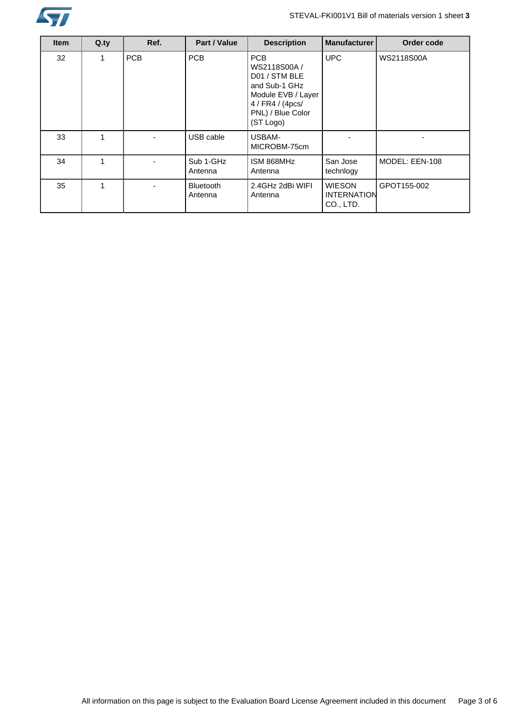

| <b>Item</b> | $Q_{.}ty$ | Ref.       | Part / Value                | <b>Description</b>                                                                                                                       | <b>Manufacturer</b>                              | Order code        |
|-------------|-----------|------------|-----------------------------|------------------------------------------------------------------------------------------------------------------------------------------|--------------------------------------------------|-------------------|
| 32          | 1         | <b>PCB</b> | <b>PCB</b>                  | <b>PCB</b><br>WS2118S00A /<br>D01 / STM BLE<br>and Sub-1 GHz<br>Module EVB / Layer<br>4 / FR4 / (4pcs/<br>PNL) / Blue Color<br>(ST Logo) | <b>UPC</b>                                       | <b>WS2118S00A</b> |
| 33          | 1         |            | USB cable                   | USBAM-<br>MICROBM-75cm                                                                                                                   |                                                  |                   |
| 34          | 1         |            | Sub 1-GHz<br>Antenna        | ISM 868MHz<br>Antenna                                                                                                                    | San Jose<br>technlogy                            | MODEL: EEN-108    |
| 35          | 1         |            | <b>Bluetooth</b><br>Antenna | 2.4GHz 2dBi WIFI<br>Antenna                                                                                                              | <b>WIESON</b><br><b>INTERNATION</b><br>CO., LTD. | GPOT155-002       |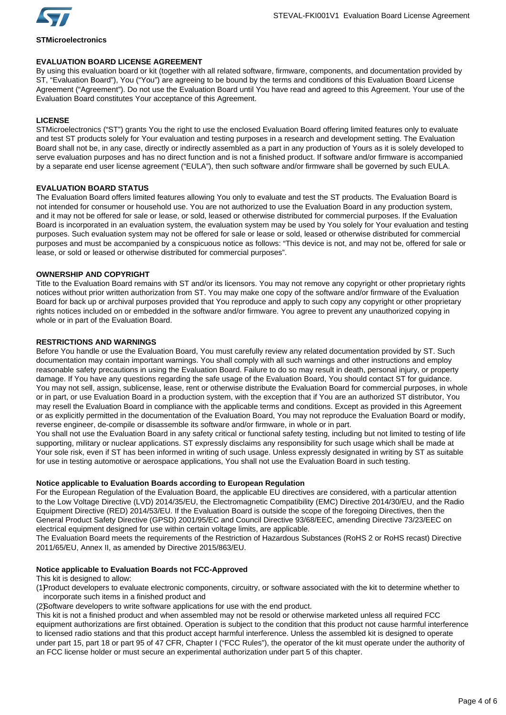

# **STMicroelectronics**

# **EVALUATION BOARD LICENSE AGREEMENT**

By using this evaluation board or kit (together with all related software, firmware, components, and documentation provided by ST, "Evaluation Board"), You ("You") are agreeing to be bound by the terms and conditions of this Evaluation Board License Agreement ("Agreement"). Do not use the Evaluation Board until You have read and agreed to this Agreement. Your use of the Evaluation Board constitutes Your acceptance of this Agreement.

# **LICENSE**

STMicroelectronics ("ST") grants You the right to use the enclosed Evaluation Board offering limited features only to evaluate and test ST products solely for Your evaluation and testing purposes in a research and development setting. The Evaluation Board shall not be, in any case, directly or indirectly assembled as a part in any production of Yours as it is solely developed to serve evaluation purposes and has no direct function and is not a finished product. If software and/or firmware is accompanied by a separate end user license agreement ("EULA"), then such software and/or firmware shall be governed by such EULA.

# **EVALUATION BOARD STATUS**

The Evaluation Board offers limited features allowing You only to evaluate and test the ST products. The Evaluation Board is not intended for consumer or household use. You are not authorized to use the Evaluation Board in any production system, and it may not be offered for sale or lease, or sold, leased or otherwise distributed for commercial purposes. If the Evaluation Board is incorporated in an evaluation system, the evaluation system may be used by You solely for Your evaluation and testing purposes. Such evaluation system may not be offered for sale or lease or sold, leased or otherwise distributed for commercial purposes and must be accompanied by a conspicuous notice as follows: "This device is not, and may not be, offered for sale or lease, or sold or leased or otherwise distributed for commercial purposes".

# **OWNERSHIP AND COPYRIGHT**

Title to the Evaluation Board remains with ST and/or its licensors. You may not remove any copyright or other proprietary rights notices without prior written authorization from ST. You may make one copy of the software and/or firmware of the Evaluation Board for back up or archival purposes provided that You reproduce and apply to such copy any copyright or other proprietary rights notices included on or embedded in the software and/or firmware. You agree to prevent any unauthorized copying in whole or in part of the Evaluation Board.

# **RESTRICTIONS AND WARNINGS**

Before You handle or use the Evaluation Board, You must carefully review any related documentation provided by ST. Such documentation may contain important warnings. You shall comply with all such warnings and other instructions and employ reasonable safety precautions in using the Evaluation Board. Failure to do so may result in death, personal injury, or property damage. If You have any questions regarding the safe usage of the Evaluation Board, You should contact ST for guidance. You may not sell, assign, sublicense, lease, rent or otherwise distribute the Evaluation Board for commercial purposes, in whole or in part, or use Evaluation Board in a production system, with the exception that if You are an authorized ST distributor, You may resell the Evaluation Board in compliance with the applicable terms and conditions. Except as provided in this Agreement or as explicitly permitted in the documentation of the Evaluation Board, You may not reproduce the Evaluation Board or modify, reverse engineer, de-compile or disassemble its software and/or firmware, in whole or in part.

You shall not use the Evaluation Board in any safety critical or functional safety testing, including but not limited to testing of life supporting, military or nuclear applications. ST expressly disclaims any responsibility for such usage which shall be made at Your sole risk, even if ST has been informed in writing of such usage. Unless expressly designated in writing by ST as suitable for use in testing automotive or aerospace applications, You shall not use the Evaluation Board in such testing.

# **Notice applicable to Evaluation Boards according to European Regulation**

For the European Regulation of the Evaluation Board, the applicable EU directives are considered, with a particular attention to the Low Voltage Directive (LVD) 2014/35/EU, the Electromagnetic Compatibility (EMC) Directive 2014/30/EU, and the Radio Equipment Directive (RED) 2014/53/EU. If the Evaluation Board is outside the scope of the foregoing Directives, then the General Product Safety Directive (GPSD) 2001/95/EC and Council Directive 93/68/EEC, amending Directive 73/23/EEC on electrical equipment designed for use within certain voltage limits, are applicable.

The Evaluation Board meets the requirements of the Restriction of Hazardous Substances (RoHS 2 or RoHS recast) Directive 2011/65/EU, Annex II, as amended by Directive 2015/863/EU.

# **Notice applicable to Evaluation Boards not FCC-Approved**

This kit is designed to allow:

(1)Product developers to evaluate electronic components, circuitry, or software associated with the kit to determine whether to incorporate such items in a finished product and

(2)Software developers to write software applications for use with the end product.

This kit is not a finished product and when assembled may not be resold or otherwise marketed unless all required FCC equipment authorizations are first obtained. Operation is subject to the condition that this product not cause harmful interference to licensed radio stations and that this product accept harmful interference. Unless the assembled kit is designed to operate under part 15, part 18 or part 95 of 47 CFR, Chapter I ("FCC Rules"), the operator of the kit must operate under the authority of an FCC license holder or must secure an experimental authorization under part 5 of this chapter.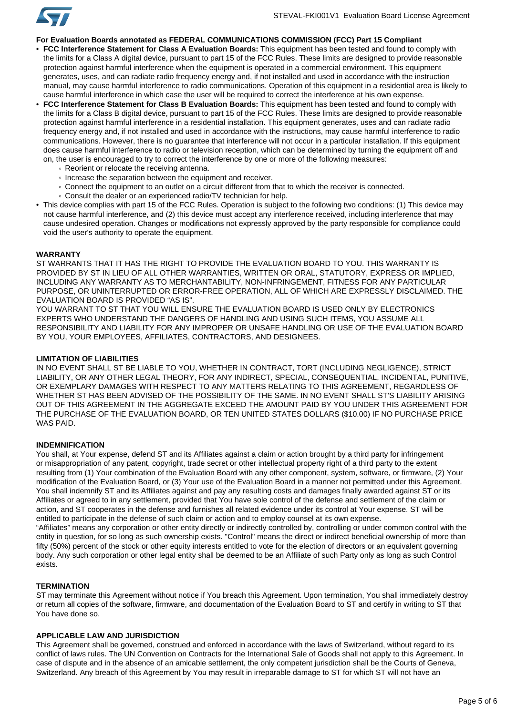

# **For Evaluation Boards annotated as FEDERAL COMMUNICATIONS COMMISSION (FCC) Part 15 Compliant**

- **FCC Interference Statement for Class A Evaluation Boards:** This equipment has been tested and found to comply with the limits for a Class A digital device, pursuant to part 15 of the FCC Rules. These limits are designed to provide reasonable protection against harmful interference when the equipment is operated in a commercial environment. This equipment generates, uses, and can radiate radio frequency energy and, if not installed and used in accordance with the instruction manual, may cause harmful interference to radio communications. Operation of this equipment in a residential area is likely to cause harmful interference in which case the user will be required to correct the interference at his own expense.
- **FCC Interference Statement for Class B Evaluation Boards:** This equipment has been tested and found to comply with the limits for a Class B digital device, pursuant to part 15 of the FCC Rules. These limits are designed to provide reasonable protection against harmful interference in a residential installation. This equipment generates, uses and can radiate radio frequency energy and, if not installed and used in accordance with the instructions, may cause harmful interference to radio communications. However, there is no guarantee that interference will not occur in a particular installation. If this equipment does cause harmful interference to radio or television reception, which can be determined by turning the equipment off and on, the user is encouraged to try to correct the interference by one or more of the following measures:
	- Reorient or relocate the receiving antenna.
	- Increase the separation between the equipment and receiver.
	- Connect the equipment to an outlet on a circuit different from that to which the receiver is connected.
	- Consult the dealer or an experienced radio/TV technician for help.
- This device complies with part 15 of the FCC Rules. Operation is subject to the following two conditions: (1) This device may not cause harmful interference, and (2) this device must accept any interference received, including interference that may cause undesired operation. Changes or modifications not expressly approved by the party responsible for compliance could void the user's authority to operate the equipment.

#### **WARRANTY**

ST WARRANTS THAT IT HAS THE RIGHT TO PROVIDE THE EVALUATION BOARD TO YOU. THIS WARRANTY IS PROVIDED BY ST IN LIEU OF ALL OTHER WARRANTIES, WRITTEN OR ORAL, STATUTORY, EXPRESS OR IMPLIED, INCLUDING ANY WARRANTY AS TO MERCHANTABILITY, NON-INFRINGEMENT, FITNESS FOR ANY PARTICULAR PURPOSE, OR UNINTERRUPTED OR ERROR-FREE OPERATION, ALL OF WHICH ARE EXPRESSLY DISCLAIMED. THE EVALUATION BOARD IS PROVIDED "AS IS".

YOU WARRANT TO ST THAT YOU WILL ENSURE THE EVALUATION BOARD IS USED ONLY BY ELECTRONICS EXPERTS WHO UNDERSTAND THE DANGERS OF HANDLING AND USING SUCH ITEMS, YOU ASSUME ALL RESPONSIBILITY AND LIABILITY FOR ANY IMPROPER OR UNSAFE HANDLING OR USE OF THE EVALUATION BOARD BY YOU, YOUR EMPLOYEES, AFFILIATES, CONTRACTORS, AND DESIGNEES.

## **LIMITATION OF LIABILITIES**

IN NO EVENT SHALL ST BE LIABLE TO YOU, WHETHER IN CONTRACT, TORT (INCLUDING NEGLIGENCE), STRICT LIABILITY, OR ANY OTHER LEGAL THEORY, FOR ANY INDIRECT, SPECIAL, CONSEQUENTIAL, INCIDENTAL, PUNITIVE, OR EXEMPLARY DAMAGES WITH RESPECT TO ANY MATTERS RELATING TO THIS AGREEMENT, REGARDLESS OF WHETHER ST HAS BEEN ADVISED OF THE POSSIBILITY OF THE SAME. IN NO EVENT SHALL ST'S LIABILITY ARISING OUT OF THIS AGREEMENT IN THE AGGREGATE EXCEED THE AMOUNT PAID BY YOU UNDER THIS AGREEMENT FOR THE PURCHASE OF THE EVALUATION BOARD, OR TEN UNITED STATES DOLLARS (\$10.00) IF NO PURCHASE PRICE WAS PAID.

# **INDEMNIFICATION**

You shall, at Your expense, defend ST and its Affiliates against a claim or action brought by a third party for infringement or misappropriation of any patent, copyright, trade secret or other intellectual property right of a third party to the extent resulting from (1) Your combination of the Evaluation Board with any other component, system, software, or firmware, (2) Your modification of the Evaluation Board, or (3) Your use of the Evaluation Board in a manner not permitted under this Agreement. You shall indemnify ST and its Affiliates against and pay any resulting costs and damages finally awarded against ST or its Affiliates or agreed to in any settlement, provided that You have sole control of the defense and settlement of the claim or action, and ST cooperates in the defense and furnishes all related evidence under its control at Your expense. ST will be entitled to participate in the defense of such claim or action and to employ counsel at its own expense. "Affiliates" means any corporation or other entity directly or indirectly controlled by, controlling or under common control with the entity in question, for so long as such ownership exists. "Control" means the direct or indirect beneficial ownership of more than fifty (50%) percent of the stock or other equity interests entitled to vote for the election of directors or an equivalent governing body. Any such corporation or other legal entity shall be deemed to be an Affiliate of such Party only as long as such Control

#### **TERMINATION**

exists.

ST may terminate this Agreement without notice if You breach this Agreement. Upon termination, You shall immediately destroy or return all copies of the software, firmware, and documentation of the Evaluation Board to ST and certify in writing to ST that You have done so.

## **APPLICABLE LAW AND JURISDICTION**

This Agreement shall be governed, construed and enforced in accordance with the laws of Switzerland, without regard to its conflict of laws rules. The UN Convention on Contracts for the International Sale of Goods shall not apply to this Agreement. In case of dispute and in the absence of an amicable settlement, the only competent jurisdiction shall be the Courts of Geneva, Switzerland. Any breach of this Agreement by You may result in irreparable damage to ST for which ST will not have an